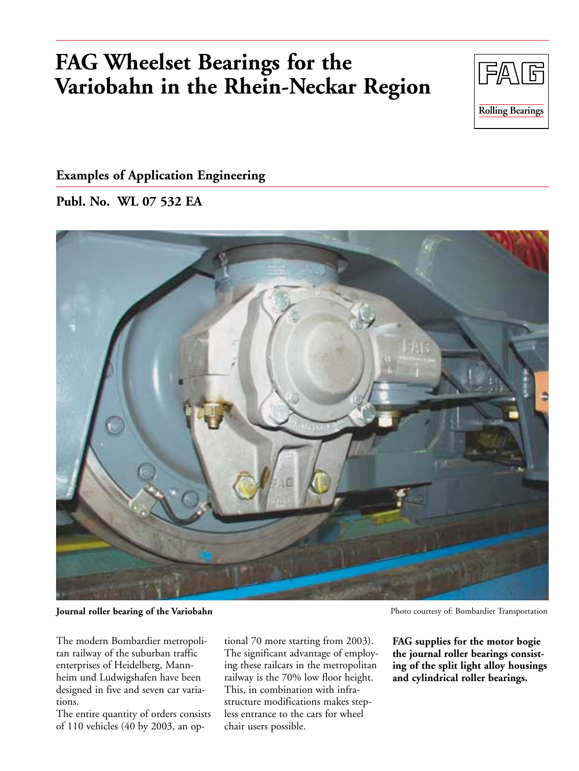# **FAG Wheelset Bearings for the Variobahn in the Rhein-Neckar Region**



## **Examples of Application Engineering**

**Publ. No. WL 07 532 EA**



**Journal roller bearing of the Variobahn** 

The modern Bombardier metropolitan railway of the suburban traffic enterprises of Heidelberg, Mannheim und Ludwigshafen have been designed in five and seven car variations.

The entire quantity of orders consists of 110 vehicles (40 by 2003, an optional 70 more starting from 2003). The significant advantage of employing these railcars in the metropolitan railway is the 70% low floor height. This, in combination with infrastructure modifications makes stepless entrance to the cars for wheel chair users possible.

Photo courtesy of: Bombardier Transportation

**FAG supplies for the motor bogie the journal roller bearings consisting of the split light alloy housings and cylindrical roller bearings.**